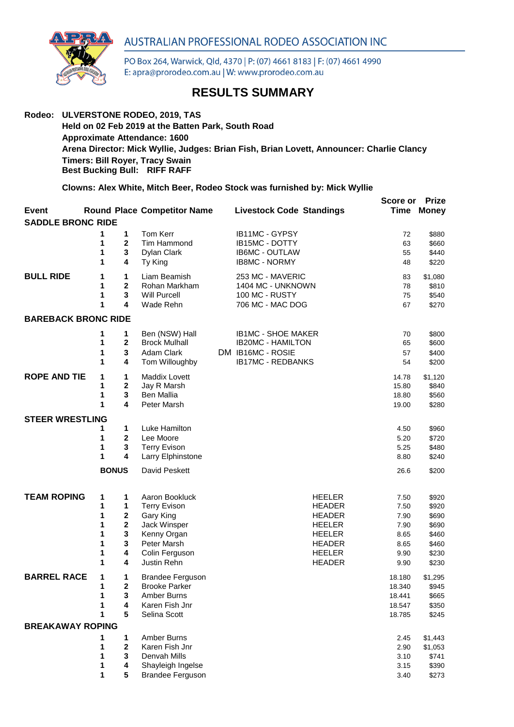

PO Box 264, Warwick, Qld, 4370 | P: (07) 4661 8183 | F: (07) 4661 4990 E: apra@prorodeo.com.au | W: www.prorodeo.com.au

## **RESULTS SUMMARY**

## **Rodeo: ULVERSTONE RODEO, 2019, TAS Held on 02 Feb 2019 at the Batten Park, South Road Approximate Attendance: 1600 Arena Director: Mick Wyllie, Judges: Brian Fish, Brian Lovett, Announcer: Charlie Clancy Timers: Bill Royer, Tracy Swain Best Bucking Bull: RIFF RAFF**

**Clowns: Alex White, Mitch Beer, Rodeo Stock was furnished by: Mick Wyllie**

|                            |              |                         |                                          |                                 | Score or | <b>Prize</b>      |
|----------------------------|--------------|-------------------------|------------------------------------------|---------------------------------|----------|-------------------|
| Event                      |              |                         | <b>Round Place Competitor Name</b>       | <b>Livestock Code Standings</b> |          | <b>Time Money</b> |
| <b>SADDLE BRONC RIDE</b>   |              |                         |                                          |                                 |          |                   |
|                            | 1            | 1                       | Tom Kerr                                 | IB11MC - GYPSY                  |          |                   |
|                            | 1            | $\mathbf 2$             | Tim Hammond                              | IB15MC - DOTTY                  | 72<br>63 | \$880<br>\$660    |
|                            | 1            | 3                       | Dylan Clark                              | <b>IB6MC - OUTLAW</b>           | 55       | \$440             |
|                            | 1            | 4                       | Ty King                                  | <b>IB8MC - NORMY</b>            | 48       | \$220             |
|                            |              |                         |                                          |                                 |          |                   |
| <b>BULL RIDE</b>           | 1            | 1                       | Liam Beamish                             | 253 MC - MAVERIC                | 83       | \$1,080           |
|                            | 1            | $\overline{2}$          | Rohan Markham                            | 1404 MC - UNKNOWN               | 78       | \$810             |
|                            | 1            | 3                       | <b>Will Purcell</b>                      | 100 MC - RUSTY                  | 75       | \$540             |
|                            | 1            | 4                       | Wade Rehn                                | 706 MC - MAC DOG                | 67       | \$270             |
| <b>BAREBACK BRONC RIDE</b> |              |                         |                                          |                                 |          |                   |
|                            | 1            | 1                       | Ben (NSW) Hall                           | <b>IB1MC - SHOE MAKER</b>       | 70       | \$800             |
|                            | 1            | $\mathbf 2$             | <b>Brock Mulhall</b>                     | <b>IB20MC - HAMILTON</b>        | 65       | \$600             |
|                            | 1            | 3                       | Adam Clark                               | DM IB16MC - ROSIE               | 57       | \$400             |
|                            | 1            | 4                       | Tom Willoughby                           | <b>IB17MC - REDBANKS</b>        | 54       | \$200             |
| <b>ROPE AND TIE</b>        | 1            | 1                       | Maddix Lovett                            |                                 | 14.78    | \$1,120           |
|                            | 1            | 2                       | Jay R Marsh                              |                                 | 15.80    | \$840             |
|                            | 1            | 3                       | Ben Mallia                               |                                 | 18.80    | \$560             |
|                            | 1            | 4                       | Peter Marsh                              |                                 | 19.00    | \$280             |
|                            |              |                         |                                          |                                 |          |                   |
| <b>STEER WRESTLING</b>     |              |                         |                                          |                                 |          |                   |
|                            | 1            | 1                       | Luke Hamilton                            |                                 | 4.50     | \$960             |
|                            | 1<br>1       | 2<br>3                  | Lee Moore                                |                                 | 5.20     | \$720             |
|                            | 1            | 4                       | <b>Terry Evison</b><br>Larry Elphinstone |                                 | 5.25     | \$480<br>\$240    |
|                            |              |                         |                                          |                                 | 8.80     |                   |
|                            | <b>BONUS</b> |                         | David Peskett                            |                                 | 26.6     | \$200             |
| <b>TEAM ROPING</b>         | 1            | 1                       | Aaron Bookluck                           | <b>HEELER</b>                   | 7.50     | \$920             |
|                            | 1            | 1                       | <b>Terry Evison</b>                      | <b>HEADER</b>                   | 7.50     | \$920             |
|                            | 1            | $\bf{2}$                | Gary King                                | <b>HEADER</b>                   | 7.90     | \$690             |
|                            | 1            | $\overline{\mathbf{2}}$ | Jack Winsper                             | <b>HEELER</b>                   | 7.90     | \$690             |
|                            | 1            | 3                       | Kenny Organ                              | <b>HEELER</b>                   | 8.65     | \$460             |
|                            | 1            | 3                       | Peter Marsh                              | <b>HEADER</b>                   | 8.65     | \$460             |
|                            | 1            | 4                       | Colin Ferguson                           | <b>HEELER</b>                   | 9.90     | \$230             |
|                            | 1            | 4                       | Justin Rehn                              | <b>HEADER</b>                   | 9.90     | \$230             |
| <b>BARREL RACE</b>         | 1            | 1                       | <b>Brandee Ferguson</b>                  |                                 | 18.180   | \$1,295           |
|                            | 1            | $\mathbf 2$             | <b>Brooke Parker</b>                     |                                 | 18.340   | \$945             |
|                            | 1            | 3                       | Amber Burns                              |                                 | 18.441   | \$665             |
|                            |              | 4                       | Karen Fish Jnr                           |                                 | 18.547   | \$350             |
|                            | 1            | 5                       | Selina Scott                             |                                 | 18.785   | \$245             |
| <b>BREAKAWAY ROPING</b>    |              |                         |                                          |                                 |          |                   |
|                            | 1            | 1                       | Amber Burns                              |                                 | 2.45     | \$1,443           |
|                            | 1            | $\mathbf{2}$            | Karen Fish Jnr                           |                                 | 2.90     | \$1,053           |
|                            | 1            | 3                       | Denvah Mills                             |                                 | 3.10     | \$741             |
|                            | 1            | 4                       | Shayleigh Ingelse                        |                                 | 3.15     | \$390             |
|                            | 1            | 5                       | <b>Brandee Ferguson</b>                  |                                 | 3.40     | \$273             |